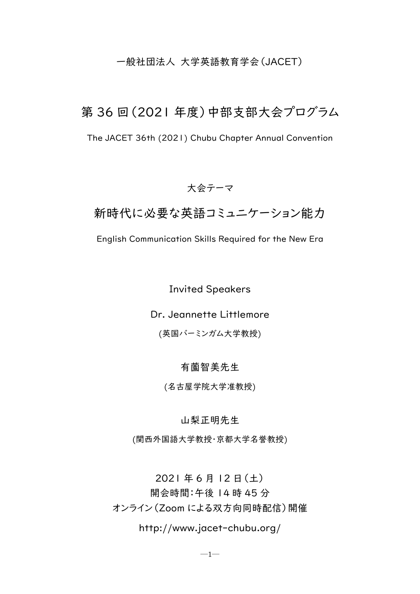# 一般社団法人 大学英語教育学会(JACET)

# 第 36 回(2021 年度)中部支部大会プログラム

The JACET 36th (2021) Chubu Chapter Annual Convention

# 大会テーマ

# 新時代に必要な英語コミュニケーション能力

English Communication Skills Required for the New Era

# Invited Speakers

Dr. Jeannette Littlemore

(英国バーミンガム大学教授)

# 有薗智美先生

(名古屋学院大学准教授)

## 山梨正明先生

(関西外国語大学教授・京都大学名誉教授)

2021 年 6 月 12 日(土) 開会時間:午後 14 時 45 分 オンライン(Zoom による双方向同時配信)開催

http://www.jacet-chubu.org/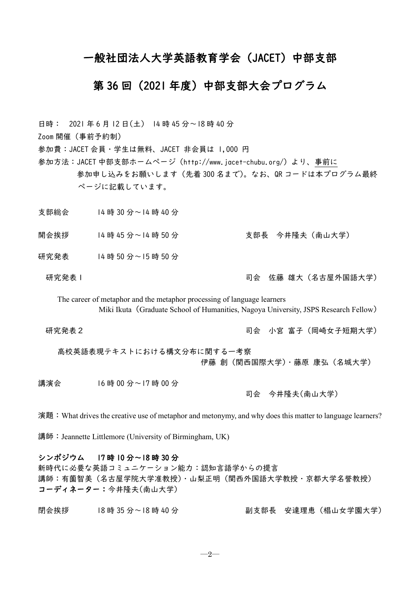# 一般社団法人大学英語教育学会(JACET)中部支部

# 第 36 回(2021 年度)中部支部大会プログラム

日時: 2021 年 6 月 12 日(土) 14 時 45 分~18 時 40 分 Zoom 開催(事前予約制) 参加費:JACET 会員・学生は無料、JACET 非会員は 1,000 円 参加方法:JACET 中部支部ホームページ(http://www.jacet-chubu.org/)より、事前に 参加申し込みをお願いします(先着 300 名まで)。なお、QR コードは本プログラム最終 ページに記載しています。 支部総会 14 時 30 分~14 時 40 分 開会挨拶 14 時 45 分~14 時 50 分 李 1 0 1 支部長 今井隆夫 (南山大学) 研究発表 14 時 50 分~15 時 50 分 研究発表 | フランス | コンスコンコンコンコンコンコンコンコンコンスト 佐藤 雄大(名古屋外国語大学) The career of metaphor and the metaphor processing of language learners Miki Ikuta (Graduate School of Humanities, Nagoya University, JSPS Research Fellow) 研究発表2 司会 小宮 富子(岡崎女子短期大学) 高校英語表現テキストにおける構文分布に関する一考察 伊藤 創(関西国際大学)・藤原 康弘(名城大学) 講演会 16 時 00 分~17 時 00 分 司会 今井隆夫(南山大学)

演題:What drives the creative use of metaphor and metonymy, and why does this matter to language learners?

講師: Jeannette Littlemore (University of Birmingham, UK)

## シンポジウム 17 時 10 分~18 時 30 分

新時代に必要な英語コミュニケーション能力:認知言語学からの提言 講師:有薗智美(名古屋学院大学准教授)・山梨正明(関西外国語大学教授・京都大学名誉教授) コーディネーター:今井隆夫(南山大学)

閉会挨拶 18 時 35 分~18 時 40 分 副支部長 安達理恵(椙山女学園大学)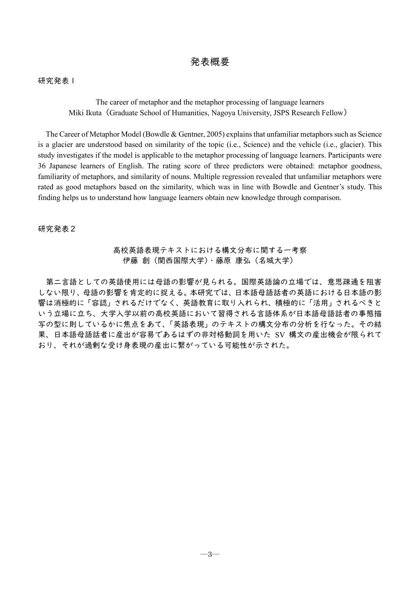## 研究発表1

The career of metaphor and the metaphor processing of language learners Miki Ikuta (Graduate School of Humanities, Nagoya University, JSPS Research Fellow)

The Career of Metaphor Model (Bowdle & Gentner, 2005) explains that unfamiliar metaphors such as Science is a glacier are understood based on similarity of the topic (i.e., Science) and the vehicle (i.e., glacier). This study investigates if the model is applicable to the metaphor processing of language learners. Participants were 36 Japanese learners of English. The rating score of three predictors were obtained: metaphor goodness, familiarity of metaphors, and similarity of nouns. Multiple regression revealed that unfamiliar metaphors were rated as good metaphors based on the similarity, which was in line with Bowdle and Gentner's study. This finding helps us to understand how language learners obtain new knowledge through comparison.

研究発表2

## 高校英語表現テキストにおける構文分布に関する一考察 伊藤 創(関西国際大学)・藤原 康弘(名城大学)

第二言語としての英語使用には母語の影響が見られる。国際英語論の立場では、意思疎通を阻害 しない限り、母語の影響を肯定的に捉える。本研究では、日本語母語話者の英語における日本語の影 響は消極的に「容認」されるだけでなく、英語教育に取り入れられ、積極的に「活用」されるべきと いう立場に立ち、大学入学以前の高校英語において習得される言語体系が日本語母語話者の事態描 写の型に則しているかに焦点をあて、「英語表現」のテキストの構文分布の分析を行なった。その結 果、日本語母語話者に産出が容易であるはずの非対格動詞を用いた SV 構文の産出機会が限られて おり、それが過剰な受け身表現の産出に繋がっている可能性が示された。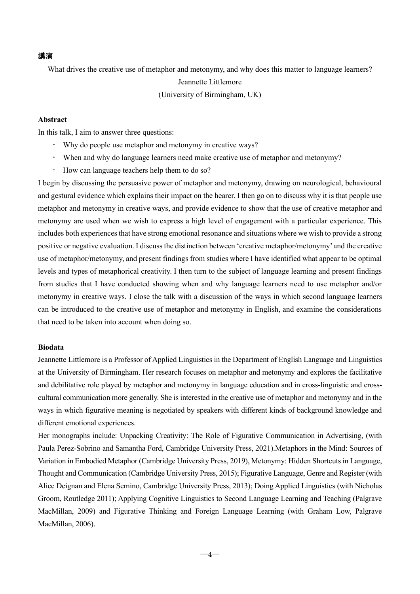#### 講演

What drives the creative use of metaphor and metonymy, and why does this matter to language learners? Jeannette Littlemore

(University of Birmingham, UK)

## **Abstract**

In this talk, I aim to answer three questions:

- Why do people use metaphor and metonymy in creative ways?
- When and why do language learners need make creative use of metaphor and metonymy?
- How can language teachers help them to do so?

I begin by discussing the persuasive power of metaphor and metonymy, drawing on neurological, behavioural and gestural evidence which explains their impact on the hearer. I then go on to discuss why it is that people use metaphor and metonymy in creative ways, and provide evidence to show that the use of creative metaphor and metonymy are used when we wish to express a high level of engagement with a particular experience. This includes both experiences that have strong emotional resonance and situations where we wish to provide a strong positive or negative evaluation. I discuss the distinction between 'creative metaphor/metonymy' and the creative use of metaphor/metonymy, and present findings from studies where I have identified what appear to be optimal levels and types of metaphorical creativity. I then turn to the subject of language learning and present findings from studies that I have conducted showing when and why language learners need to use metaphor and/or metonymy in creative ways. I close the talk with a discussion of the ways in which second language learners can be introduced to the creative use of metaphor and metonymy in English, and examine the considerations that need to be taken into account when doing so.

## **Biodata**

Jeannette Littlemore is a Professor of Applied Linguistics in the Department of English Language and Linguistics at the University of Birmingham. Her research focuses on metaphor and metonymy and explores the facilitative and debilitative role played by metaphor and metonymy in language education and in cross-linguistic and crosscultural communication more generally. She is interested in the creative use of metaphor and metonymy and in the ways in which figurative meaning is negotiated by speakers with different kinds of background knowledge and different emotional experiences.

Her monographs include: Unpacking Creativity: The Role of Figurative Communication in Advertising, (with Paula Perez-Sobrino and Samantha Ford, Cambridge University Press, 2021).Metaphors in the Mind: Sources of Variation in Embodied Metaphor (Cambridge University Press, 2019), Metonymy: Hidden Shortcuts in Language, Thought and Communication (Cambridge University Press, 2015); Figurative Language, Genre and Register (with Alice Deignan and Elena Semino, Cambridge University Press, 2013); Doing Applied Linguistics (with Nicholas Groom, Routledge 2011); Applying Cognitive Linguistics to Second Language Learning and Teaching (Palgrave MacMillan, 2009) and Figurative Thinking and Foreign Language Learning (with Graham Low, Palgrave MacMillan, 2006).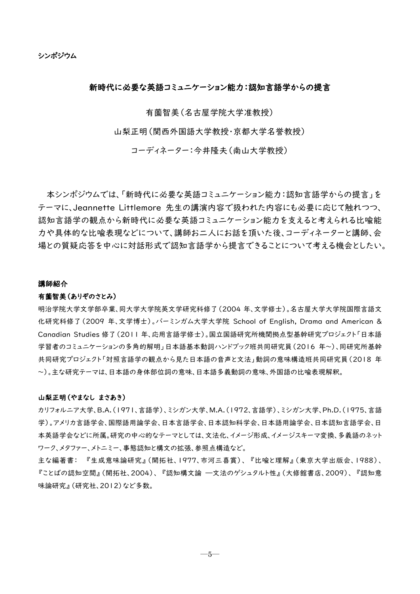## 新時代に必要な英語コミュニケーション能力:認知言語学からの提言

有薗智美(名古屋学院大学准教授)

山梨正明(関西外国語大学教授・京都大学名誉教授)

コーディネーター:今井隆夫(南山大学教授)

本シンポジウムでは、「新時代に必要な英語コミュニケーション能力:認知言語学からの提言」を テーマに、Jeannette Littlemore 先生の講演内容で扱われた内容にも必要に応じて触れつつ、 認知言語学の観点から新時代に必要な英語コミュニケーション能力を支えると考えられる比喩能 力や具体的な比喩表現などについて、講師お二人にお話を頂いた後、コーディネーターと講師、会 場との質疑応答を中心に対話形式で認知言語学から提言できることについて考える機会としたい。

#### 講師紹介

#### 有薗智美(ありぞのさとみ)

明治学院大学文学部卒業、同大学大学院英文学研究科修了(2004 年、文学修士)。名古屋大学大学院国際言語文 化研究科修了(2009 年、文学博士)。バーミンガム大学大学院 School of English, Drama and American & Canadian Studies 修了(2011 年、応用言語学修士)。国立国語研究所機関拠点型基幹研究プロジェクト「日本語 学習者のコミュニケーションの多角的解明」日本語基本動詞ハンドブック班共同研究員(2016 年~)、同研究所基幹 共同研究プロジェクト「対照言語学の観点から見た日本語の音声と文法」動詞の意味構造班共同研究員(2018 年 ~)。主な研究テーマは、日本語の身体部位詞の意味、日本語多義動詞の意味、外国語の比喩表現解釈。

#### 山梨正明(やまなし まさあき)

カリフォルニア大学、B.A.(1971、言語学)、ミシガン大学、M.A.(1972、言語学)、ミシガン大学、Ph.D.(1975、言語 学)。アメリカ言語学会、国際語用論学会、日本言語学会、日本認知科学会、日本語用論学会、日本認知言語学会、日 本英語学会などに所属。研究の中心的なテーマとしては、文法化、イメージ形成、イメージスキーマ変換、多義語のネット ワーク、メタファー、メトニミー、事態認知と構文の拡張、参照点構造など。

主な編著書: 『生成意味論研究』(開拓社、1977、市河三喜賞)、 『比喩と理解』(東京大学出版会、1988)、 『ことばの認知空間』(開拓社、2004)、 『認知構文論 ―文法のゲシュタルト性』(大修館書店、2009)、 『認知意 味論研究』(研究社、2012)など多数。